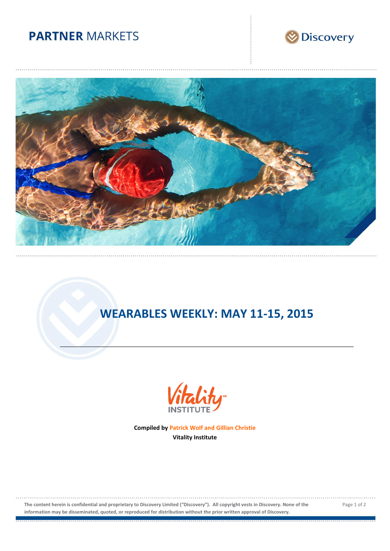# **PARTNER MARKETS**





# **WEARABLES WEEKLY: MAY 11-15, 2015**



**Compiled by Patrick Wolf and Gillian Christie Vitality Institute**

**The content herein is confidential and proprietary to Discovery Limited ("Discovery"). All copyright vests in Discovery. None of the information may be disseminated, quoted, or reproduced for distribution without the prior written approval of Discovery.**

Page 1 of 2